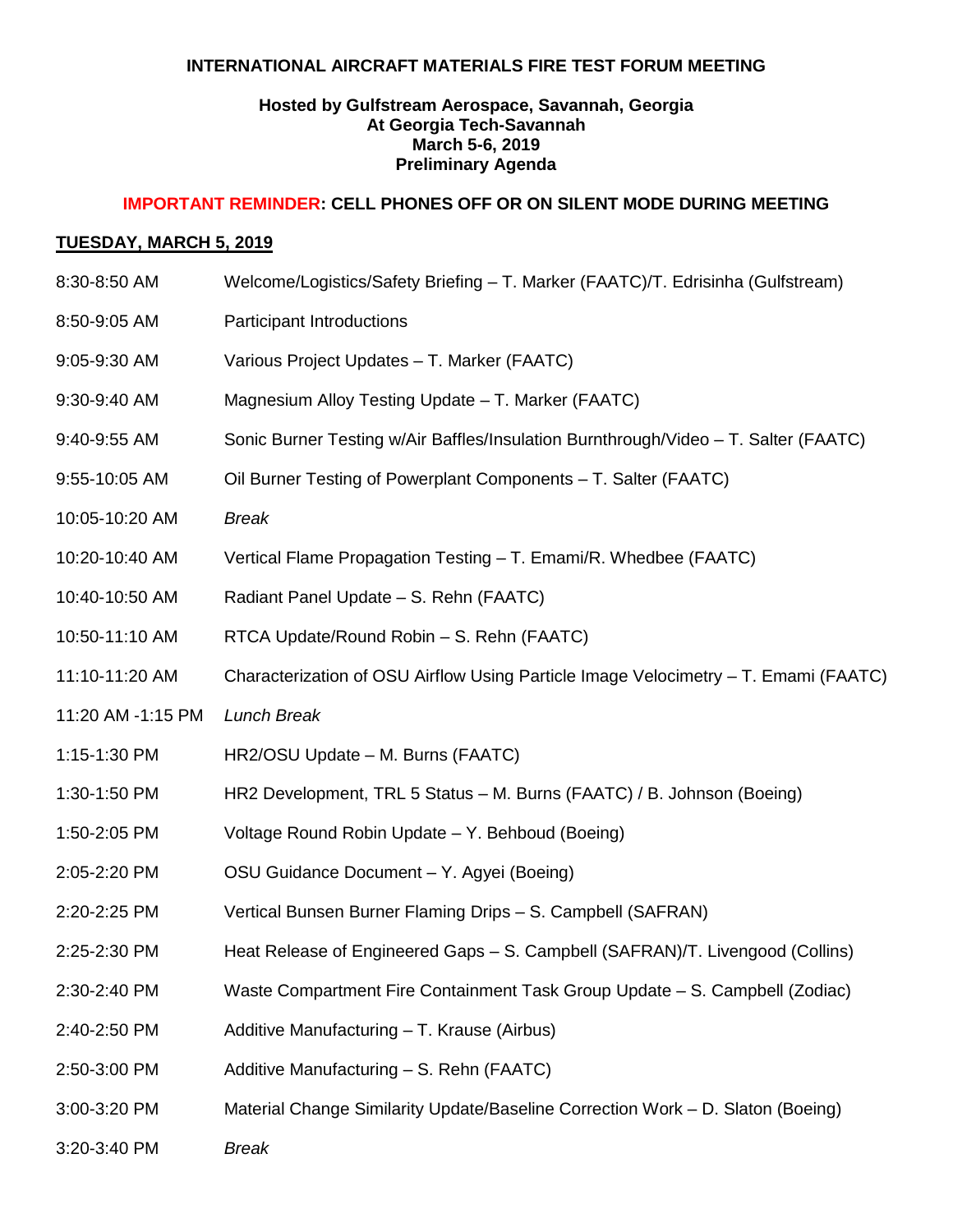## **INTERNATIONAL AIRCRAFT MATERIALS FIRE TEST FORUM MEETING**

# **Hosted by Gulfstream Aerospace, Savannah, Georgia At Georgia Tech-Savannah March 5-6, 2019 Preliminary Agenda**

### **IMPORTANT REMINDER: CELL PHONES OFF OR ON SILENT MODE DURING MEETING**

## **TUESDAY, MARCH 5, 2019**

8:30-8:50 AM Welcome/Logistics/Safety Briefing – T. Marker (FAATC)/T. Edrisinha (Gulfstream) 8:50-9:05 AM Participant Introductions 9:05-9:30 AM Various Project Updates – T. Marker (FAATC) 9:30-9:40 AM Magnesium Alloy Testing Update – T. Marker (FAATC) 9:40-9:55 AM Sonic Burner Testing w/Air Baffles/Insulation Burnthrough/Video – T. Salter (FAATC) 9:55-10:05 AM Oil Burner Testing of Powerplant Components – T. Salter (FAATC) 10:05-10:20 AM *Break*  10:20-10:40 AM Vertical Flame Propagation Testing – T. Emami/R. Whedbee (FAATC) 10:40-10:50 AM Radiant Panel Update – S. Rehn (FAATC) 10:50-11:10 AM RTCA Update/Round Robin – S. Rehn (FAATC) 11:10-11:20 AM Characterization of OSU Airflow Using Particle Image Velocimetry – T. Emami (FAATC) 11:20 AM -1:15 PM *Lunch Break* 1:15-1:30 PM HR2/OSU Update – M. Burns (FAATC) 1:30-1:50 PM HR2 Development, TRL 5 Status – M. Burns (FAATC) / B. Johnson (Boeing) 1:50-2:05 PM Voltage Round Robin Update – Y. Behboud (Boeing) 2:05-2:20 PM OSU Guidance Document – Y. Agyei (Boeing) 2:20-2:25 PM Vertical Bunsen Burner Flaming Drips – S. Campbell (SAFRAN) 2:25-2:30 PM Heat Release of Engineered Gaps – S. Campbell (SAFRAN)/T. Livengood (Collins) 2:30-2:40 PM Waste Compartment Fire Containment Task Group Update – S. Campbell (Zodiac) 2:40-2:50 PM Additive Manufacturing – T. Krause (Airbus) 2:50-3:00 PM Additive Manufacturing – S. Rehn (FAATC) 3:00-3:20 PM Material Change Similarity Update/Baseline Correction Work – D. Slaton (Boeing) 3:20-3:40 PM *Break*